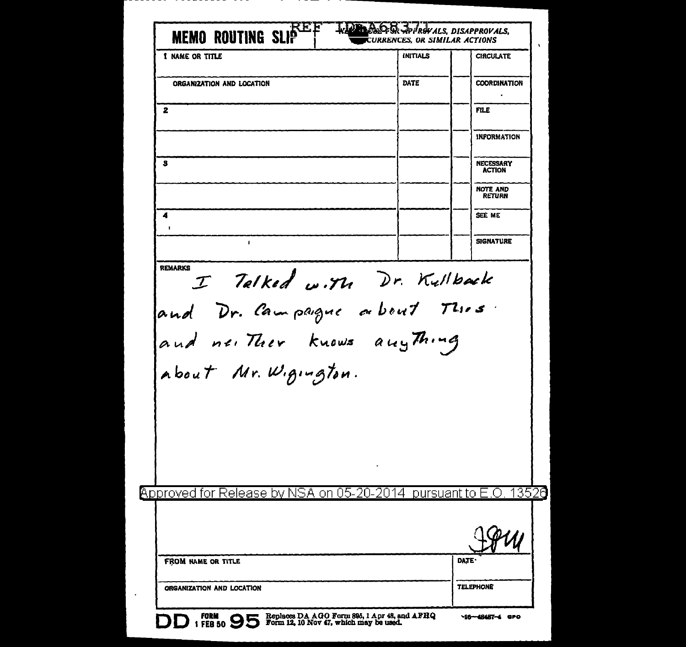| 1 NAME OR TITLE                                                  | <b>INITIALS</b> | <b>CIRCULATE</b>                 |
|------------------------------------------------------------------|-----------------|----------------------------------|
| ORGANIZATION AND LOCATION                                        | DATE            | <b>COORDINATION</b>              |
|                                                                  |                 |                                  |
| 2                                                                |                 | <b>FILE</b>                      |
|                                                                  |                 | <b>INFORMATION</b>               |
| s                                                                |                 | NECESSARY<br><b>ACTION</b>       |
|                                                                  |                 | <b>NOTE AND</b><br><b>RETURN</b> |
| 4                                                                |                 | SEE ME                           |
| $\mathbf{I}$                                                     |                 | <b>SIGNATURE</b>                 |
| REMARKS I Talked w.M. Dr. Kullback<br>and neither knows anything |                 |                                  |
| about Mr. W.gington.                                             |                 |                                  |
| Approved for Release by NSA on 05-20-2014 pursuant to E          |                 | 13520<br>$\left( \ \right)$      |
|                                                                  |                 |                                  |
| <b>FROM NAME OR TITLE</b>                                        |                 | DATE                             |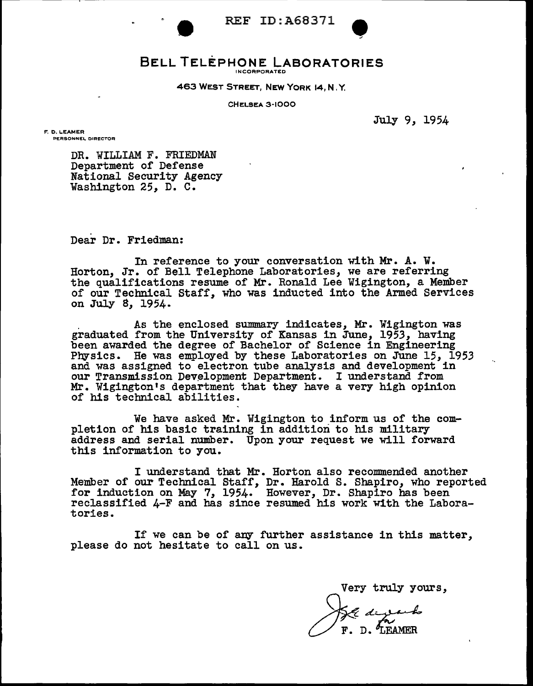

# REF ID:A68371<br>HONE LABORATORIES **BELL TELEPHONE LABORATORIES** INCORPORATED

463 WEST STREET, NEW YORK 14, N. Y.

CHELSEA 3-1000

July 9, 1954

F. D. LEAMER **PERSONNEi.. DIRECTOR** 

> DR. WILLIAM F. FRIEDMAN Department of Defense National Security Agency Washington 25, D. C.

Dear Dr. Friedman:

In reference to your conversation with Mr. A. w. Horton, Jr. of Bell Telephone Laboratories, we are referring the qualifications resume of Mr. Ronald Lee Wigington, a Member of our Technical Staff, who was inducted into the Armed Services on July 8, 1954.

. As the enclosed summary indicates, Mr. Wigington was graduated from the University of Kansas in June, 1953, having been awarded the degree of Bachelor of Science in Engineering Physics. He was employed by these Laboratories on June 15, 1953 and was assigned to electron tube analysis and development in our Transmission Development Department. I understand from Mr. Wigington's department that they have a very high opinion of his technical abilities.

We have asked Mr. Wigington to inform us of the completion of his basic training in addition to his military address and serial number. Upon your request we will forward this information to you.

I understand that Mr. Horton also recommended another<br>Member of our Technical Staff, Dr. Harold S. Shapiro, who reported Member of our Technical Staff, Dr. Harold S. Shapiro, who reported for induction on May 7, 1954. However, Dr. Shapiro has been reclassified 4-F and has since resumed his work with the Laboratories.

If we can be of any further assistance in this matter, please do not hesitate to call on us.

Very truly yours,

D. LEAMER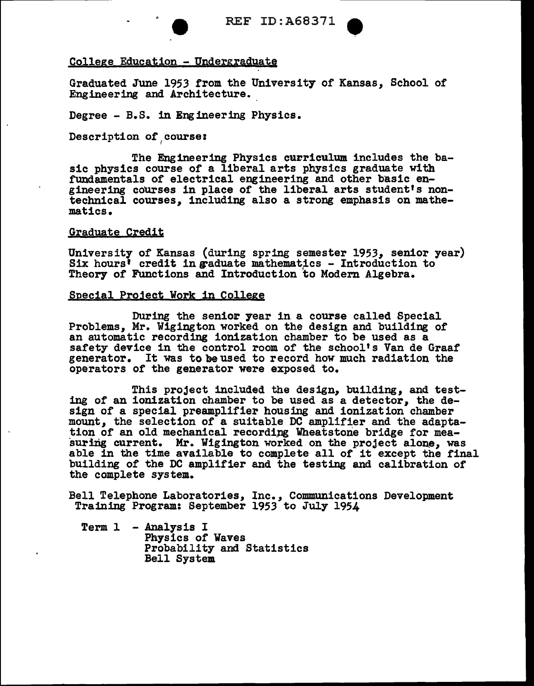

# College Education - Undergraduate

Graduated June 1953 from the University of Kansas, School of Engineering and Architecture.

Degree - B.S. in Engineering Physics.

Description of course:

The Engineering Physics curriculum includes the basic physics course or a liberal arts physics graduate with fundamentals or electrical engineering and other basic engineering courses in place of the liberal arts student's nontechnical courses, including also a strong emphasis on mathematics.

#### Graduate Credit

University of Kansas (during spring semester 1953, senior year) Six hours' credit in graduate mathematics - Introduction to Theory of Functions and Introduction to Modern Algebra.

## Special Pro3ect Work in College

During the senior year in a course called Special Problems, Mr. Wigington worked on the design and building of an automatic recording ionization chamber to be used as a safety device in the control room of the school's Van de Graaf generator. It was tobeused to record how much radiation the operators of the generator were exposed to.

This project included the design, building, and testing of an ionization chamber to be used as a detector, the design of a special preamplifier housing and ionization chamber mount, the selection of a suitable DC amplifier and the adapta-<br>tion of an old mechanical recording Wheatstone bridge for measuring current. Mr. Wigington worked on the project alone, was able in the time available to complete all of it except the final building or the DC amplifier and the testing and calibration of the complete system.

Bell Telephone Laboratories, Inc., Communications Development Training Program: September 1953 to July 1954

Term 1 - Analysis I Physics of Waves Probability and Statistics Bell System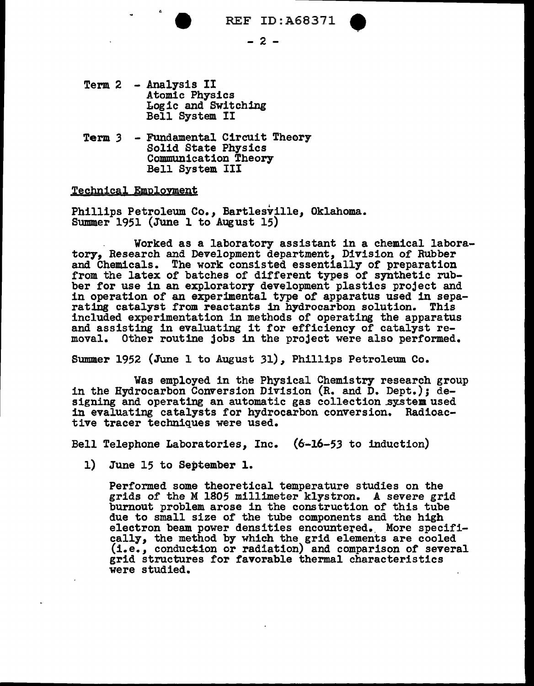

- Term 2 Analysis II Logic and Switching<br>Bell System II
- Term 3 Fundamental Circuit Theory<br>Solid State Physics<br>Communication Theory<br>Bell System III

### Technical Employment

• Phillips Petroleum Co., Bartlesville, Oklahoma. Summer 1951 (June l to August 15)

Worked as a laboratory assistant in a chemical laboratory, Research and Development department, Division of Rubber and Chemicals. The work consisted essentially of preparation from the latex of batches of different types of synthetic rubber for use in an exploratory development plastics project and in operation of an experimental type of apparatus used in sepa-<br>rating catalyst from reactants in hydrocarbon solution. This<br>included experimentation in methods of operating the apparatus and assisting in evaluating it for efficiency of catalyst removal. Other routine jobs in the project were also performed.

Summer 1952 (June 1 to August 31), Phillips Petroleum Co.

Was employed in the Physical Chemistry research group in the Hydrocarbon Conversion Division (R. and D. Dept.); designing and operating an automatic gas collection system used in evaluating catalysts for hydrocarbon conversion. Radioactive tracer techniques were used.

Bell Telephone Laboratories, Inc. (6-16-53 to induction)

1) June 15 to September 1.

Performed some theoretical temperature studies on the grids of the M 1805 millimeter klystron. *A* severe grid burnout problem arose in the construction of this tube due to small size of the tube components and the high electron beam power densities encountered. More specifi-<br>cally, the method by which the grid elements are cooled (i.e., conduction or radiation) and comparison of several grid structures for favorable thermal characteristics were studied.